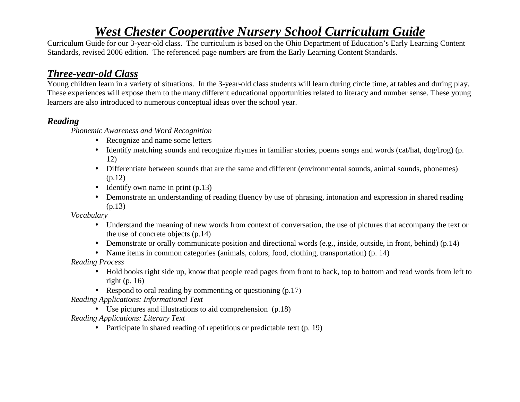# *West Chester Cooperative Nursery School Curriculum Guide*

 Curriculum Guide for our 3-year-old class. The curriculum is based on the Ohio Department of Education's Early Learning Content Standards, revised 2006 edition. The referenced page numbers are from the Early Learning Content Standards.

# *Three-year-old Class*

 Young children learn in a variety of situations. In the 3-year-old class students will learn during circle time, at tables and during play. These experiences will expose them to the many different educational opportunities related to literacy and number sense. These young learners are also introduced to numerous conceptual ideas over the school year.

# *Reading*

*Phonemic Awareness and Word Recognition* 

- Recognize and name some letters
- Identify matching sounds and recognize rhymes in familiar stories, poems songs and words (cat/hat, dog/frog) (p. 12)
- Differentiate between sounds that are the same and different (environmental sounds, animal sounds, phonemes) (p.12)
- Identify own name in print (p.13)
- Demonstrate an understanding of reading fluency by use of phrasing, intonation and expression in shared reading (p.13)

*Vocabulary* 

- Understand the meaning of new words from context of conversation, the use of pictures that accompany the text or the use of concrete objects (p.14)
- Demonstrate or orally communicate position and directional words (e.g., inside, outside, in front, behind) (p.14)
- Name items in common categories (animals, colors, food, clothing, transportation) (p. 14)

*Reading Process* 

- Hold books right side up, know that people read pages from front to back, top to bottom and read words from left to right (p. 16)
- Respond to oral reading by commenting or questioning (p.17)

*Reading Applications: Informational Text* 

• Use pictures and illustrations to aid comprehension (p.18)

 *Reading Applications: Literary Text* 

• Participate in shared reading of repetitious or predictable text (p. 19)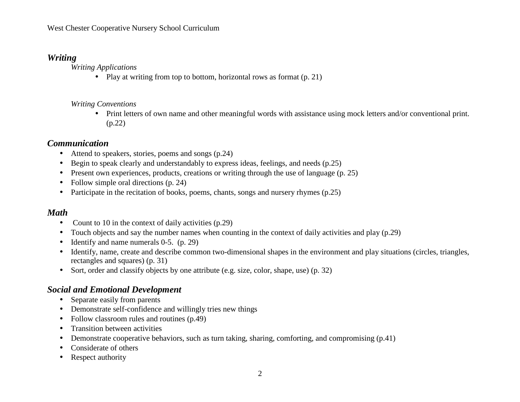#### *Writing*

*Writing Applications* 

• Play at writing from top to bottom, horizontal rows as format (p. 21)

#### *Writing Conventions*

• Print letters of own name and other meaningful words with assistance using mock letters and/or conventional print. (p.22)

## *Communication*

- Attend to speakers, stories, poems and songs (p.24)
- $\bullet$ Begin to speak clearly and understandably to express ideas, feelings, and needs (p.25)
- $\bullet$ Present own experiences, products, creations or writing through the use of language (p. 25)
- $\bullet$ Follow simple oral directions (p. 24)
- Participate in the recitation of books, poems, chants, songs and nursery rhymes (p.25)

# *Math*

- Count to 10 in the context of daily activities (p.29)
- •Touch objects and say the number names when counting in the context of daily activities and play (p.29)
- •Identify and name numerals 0-5. (p. 29)
- Identify, name, create and describe common two-dimensional shapes in the environment and play situations (circles, triangles, rectangles and squares) (p. 31)
- Sort, order and classify objects by one attribute (e.g. size, color, shape, use) (p. 32)

# *Social and Emotional Development*

- Separate easily from parents
- Demonstrate self-confidence and willingly tries new things
- $\bullet$ Follow classroom rules and routines (p.49)
- •Transition between activities
- •Demonstrate cooperative behaviors, such as turn taking, sharing, comforting, and compromising (p.41)
- •Considerate of others
- •Respect authority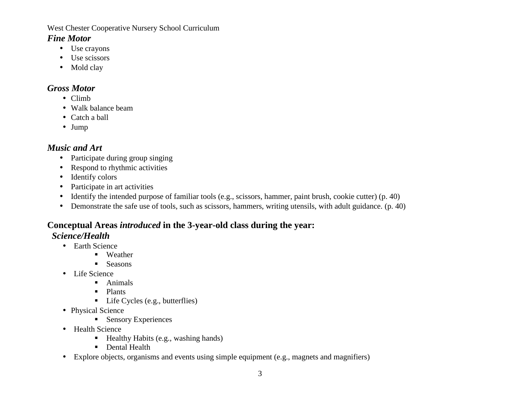West Chester Cooperative Nursery School Curriculum

#### *Fine Motor*

- Use crayons
- Use scissors
- Mold clay

## *Gross Motor*

- Climb
- Walk balance beam
- Catch a ball
- Jump

# *Music and Art*

- Participate during group singing
- Respond to rhythmic activities
- Identify colors
- Participate in art activities
- •Identify the intended purpose of familiar tools (e.g., scissors, hammer, paint brush, cookie cutter) (p. 40)
- Demonstrate the safe use of tools, such as scissors, hammers, writing utensils, with adult guidance. (p. 40)

#### **Conceptual Areas** *introduced* **in the 3-year-old class during the year:** *Science/Health*

- Earth Science
	- Weather
	- **Seasons**
- Life Science
	- Animals
	- Plants
	- Life Cycles (e.g., butterflies)
- Physical Science
	- Sensory Experiences
- Health Science
	- Healthy Habits (e.g., washing hands)
	- Dental Health
- Explore objects, organisms and events using simple equipment (e.g., magnets and magnifiers)